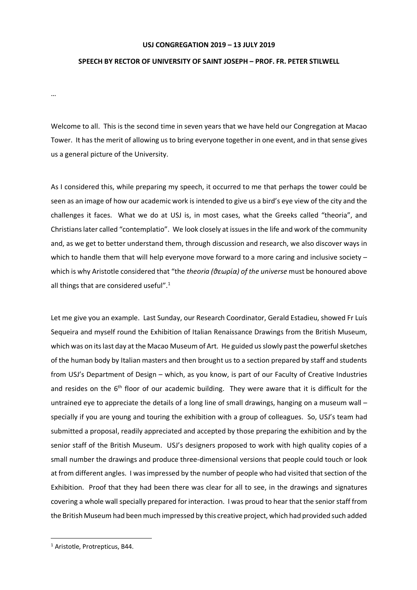## **USJ CONGREGATION 2019 – 13 JULY 2019**

## **SPEECH BY RECTOR OF UNIVERSITY OF SAINT JOSEPH – PROF. FR. PETER STILWELL**

…

Welcome to all. This is the second time in seven years that we have held our Congregation at Macao Tower. It has the merit of allowing us to bring everyone together in one event, and in that sense gives us a general picture of the University.

As I considered this, while preparing my speech, it occurred to me that perhaps the tower could be seen as an image of how our academic work is intended to give us a bird's eye view of the city and the challenges it faces. What we do at USJ is, in most cases, what the Greeks called "theoria", and Christians later called "contemplatio". We look closely at issues in the life and work of the community and, as we get to better understand them, through discussion and research, we also discover ways in which to handle them that will help everyone move forward to a more caring and inclusive society – which is why Aristotle considered that "the *theoria (θεωρία) of the universe* must be honoured above all things that are considered useful".<sup>1</sup>

Let me give you an example. Last Sunday, our Research Coordinator, Gerald Estadieu, showed Fr Luís Sequeira and myself round the Exhibition of Italian Renaissance Drawings from the British Museum, which was on its last day at the Macao Museum of Art. He guided us slowly past the powerful sketches of the human body by Italian masters and then brought us to a section prepared by staff and students from USJ's Department of Design – which, as you know, is part of our Faculty of Creative Industries and resides on the 6<sup>th</sup> floor of our academic building. They were aware that it is difficult for the untrained eye to appreciate the details of a long line of small drawings, hanging on a museum wall – specially if you are young and touring the exhibition with a group of colleagues. So, USJ's team had submitted a proposal, readily appreciated and accepted by those preparing the exhibition and by the senior staff of the British Museum. USJ's designers proposed to work with high quality copies of a small number the drawings and produce three-dimensional versions that people could touch or look at from different angles. I was impressed by the number of people who had visited that section of the Exhibition. Proof that they had been there was clear for all to see, in the drawings and signatures covering a whole wall specially prepared for interaction. I was proud to hear that the senior staff from the British Museum had been much impressed by this creative project, which had provided such added

 <sup>1</sup> Aristotle, Protrepticus, B44.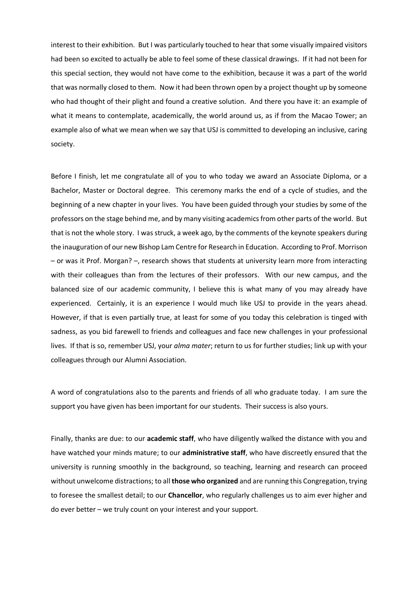interest to their exhibition. But I was particularly touched to hear that some visually impaired visitors had been so excited to actually be able to feel some of these classical drawings. If it had not been for this special section, they would not have come to the exhibition, because it was a part of the world that was normally closed to them. Now it had been thrown open by a project thought up by someone who had thought of their plight and found a creative solution. And there you have it: an example of what it means to contemplate, academically, the world around us, as if from the Macao Tower; an example also of what we mean when we say that USJ is committed to developing an inclusive, caring society.

Before I finish, let me congratulate all of you to who today we award an Associate Diploma, or a Bachelor, Master or Doctoral degree. This ceremony marks the end of a cycle of studies, and the beginning of a new chapter in your lives. You have been guided through your studies by some of the professors on the stage behind me, and by many visiting academics from other parts of the world. But that is not the whole story. I was struck, a week ago, by the comments of the keynote speakers during the inauguration of our new Bishop Lam Centre for Research in Education. According to Prof. Morrison – or was it Prof. Morgan? –, research shows that students at university learn more from interacting with their colleagues than from the lectures of their professors. With our new campus, and the balanced size of our academic community, I believe this is what many of you may already have experienced. Certainly, it is an experience I would much like USJ to provide in the years ahead. However, if that is even partially true, at least for some of you today this celebration is tinged with sadness, as you bid farewell to friends and colleagues and face new challenges in your professional lives. If that is so, remember USJ, your *alma mater*; return to us for further studies; link up with your colleagues through our Alumni Association.

A word of congratulations also to the parents and friends of all who graduate today. I am sure the support you have given has been important for our students. Their success is also yours.

Finally, thanks are due: to our **academic staff**, who have diligently walked the distance with you and have watched your minds mature; to our **administrative staff**, who have discreetly ensured that the university is running smoothly in the background, so teaching, learning and research can proceed without unwelcome distractions; to all **those who organized** and are running this Congregation, trying to foresee the smallest detail; to our **Chancellor**, who regularly challenges us to aim ever higher and do ever better – we truly count on your interest and your support.